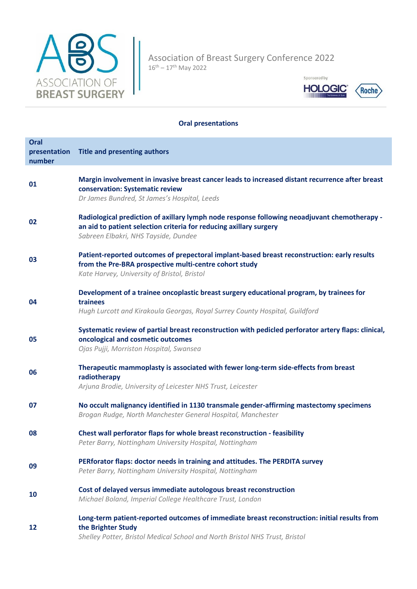

Association of Breast Surgery Conference 2022 16th – 17th May 2022



## **Oral presentations**

| Oral<br>presentation<br>number | <b>Title and presenting authors</b>                                                                                                                                                                        |
|--------------------------------|------------------------------------------------------------------------------------------------------------------------------------------------------------------------------------------------------------|
| 01                             | Margin involvement in invasive breast cancer leads to increased distant recurrence after breast<br>conservation: Systematic review<br>Dr James Bundred, St James's Hospital, Leeds                         |
| 02                             | Radiological prediction of axillary lymph node response following neoadjuvant chemotherapy -<br>an aid to patient selection criteria for reducing axillary surgery<br>Sabreen Elbakri, NHS Tayside, Dundee |
| 03                             | Patient-reported outcomes of prepectoral implant-based breast reconstruction: early results<br>from the Pre-BRA prospective multi-centre cohort study<br>Kate Harvey, University of Bristol, Bristol       |
| 04                             | Development of a trainee oncoplastic breast surgery educational program, by trainees for<br>trainees<br>Hugh Lurcott and Kirakoula Georgas, Royal Surrey County Hospital, Guildford                        |
| 05                             | Systematic review of partial breast reconstruction with pedicled perforator artery flaps: clinical,<br>oncological and cosmetic outcomes<br>Ojas Pujji, Morriston Hospital, Swansea                        |
| 06                             | Therapeutic mammoplasty is associated with fewer long-term side-effects from breast<br>radiotherapy<br>Arjuna Brodie, University of Leicester NHS Trust, Leicester                                         |
| 07                             | No occult malignancy identified in 1130 transmale gender-affirming mastectomy specimens<br>Brogan Rudge, North Manchester General Hospital, Manchester                                                     |
| 08                             | Chest wall perforator flaps for whole breast reconstruction - feasibility<br>Peter Barry, Nottingham University Hospital, Nottingham                                                                       |
| 09                             | PERforator flaps: doctor needs in training and attitudes. The PERDITA survey<br>Peter Barry, Nottingham University Hospital, Nottingham                                                                    |
| 10                             | Cost of delayed versus immediate autologous breast reconstruction<br>Michael Boland, Imperial College Healthcare Trust, London                                                                             |
| 12                             | Long-term patient-reported outcomes of immediate breast reconstruction: initial results from<br>the Brighter Study<br>Shelley Potter, Bristol Medical School and North Bristol NHS Trust, Bristol          |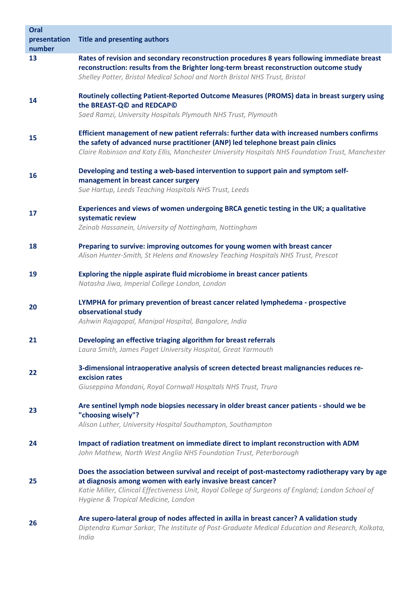| Oral<br>presentation<br>number | <b>Title and presenting authors</b>                                                                                                                                                                                                                                                                      |
|--------------------------------|----------------------------------------------------------------------------------------------------------------------------------------------------------------------------------------------------------------------------------------------------------------------------------------------------------|
| 13                             | Rates of revision and secondary reconstruction procedures 8 years following immediate breast<br>reconstruction: results from the Brighter long-term breast reconstruction outcome study<br>Shelley Potter, Bristol Medical School and North Bristol NHS Trust, Bristol                                   |
| 14                             | Routinely collecting Patient-Reported Outcome Measures (PROMS) data in breast surgery using<br>the BREAST-Q <sup>®</sup> and REDCAP <sup>®</sup><br>Saed Ramzi, University Hospitals Plymouth NHS Trust, Plymouth                                                                                        |
| 15                             | Efficient management of new patient referrals: further data with increased numbers confirms<br>the safety of advanced nurse practitioner (ANP) led telephone breast pain clinics<br>Claire Robinson and Katy Ellis, Manchester University Hospitals NHS Foundation Trust, Manchester                     |
| 16                             | Developing and testing a web-based intervention to support pain and symptom self-<br>management in breast cancer surgery<br>Sue Hartup, Leeds Teaching Hospitals NHS Trust, Leeds                                                                                                                        |
| 17                             | Experiences and views of women undergoing BRCA genetic testing in the UK; a qualitative<br>systematic review<br>Zeinab Hassanein, University of Nottingham, Nottingham                                                                                                                                   |
| 18                             | Preparing to survive: improving outcomes for young women with breast cancer<br>Alison Hunter-Smith, St Helens and Knowsley Teaching Hospitals NHS Trust, Prescot                                                                                                                                         |
| 19                             | Exploring the nipple aspirate fluid microbiome in breast cancer patients<br>Natasha Jiwa, Imperial College London, London                                                                                                                                                                                |
| 20                             | LYMPHA for primary prevention of breast cancer related lymphedema - prospective<br>observational study<br>Ashwin Rajagopal, Manipal Hospital, Bangalore, India                                                                                                                                           |
| 21                             | Developing an effective triaging algorithm for breast referrals<br>Laura Smith, James Paget University Hospital, Great Yarmouth                                                                                                                                                                          |
| 22                             | 3-dimensional intraoperative analysis of screen detected breast malignancies reduces re-<br>excision rates<br>Giuseppina Mondani, Royal Cornwall Hospitals NHS Trust, Truro                                                                                                                              |
| 23                             | Are sentinel lymph node biopsies necessary in older breast cancer patients - should we be<br>"choosing wisely"?<br>Alison Luther, University Hospital Southampton, Southampton                                                                                                                           |
| 24                             | Impact of radiation treatment on immediate direct to implant reconstruction with ADM<br>John Mathew, North West Anglia NHS Foundation Trust, Peterborough                                                                                                                                                |
| 25                             | Does the association between survival and receipt of post-mastectomy radiotherapy vary by age<br>at diagnosis among women with early invasive breast cancer?<br>Katie Miller, Clinical Effectiveness Unit, Royal College of Surgeons of England; London School of<br>Hygiene & Tropical Medicine, London |
| 26                             | Are supero-lateral group of nodes affected in axilla in breast cancer? A validation study<br>Diptendra Kumar Sarkar, The Institute of Post-Graduate Medical Education and Research, Kolkata,<br>India                                                                                                    |